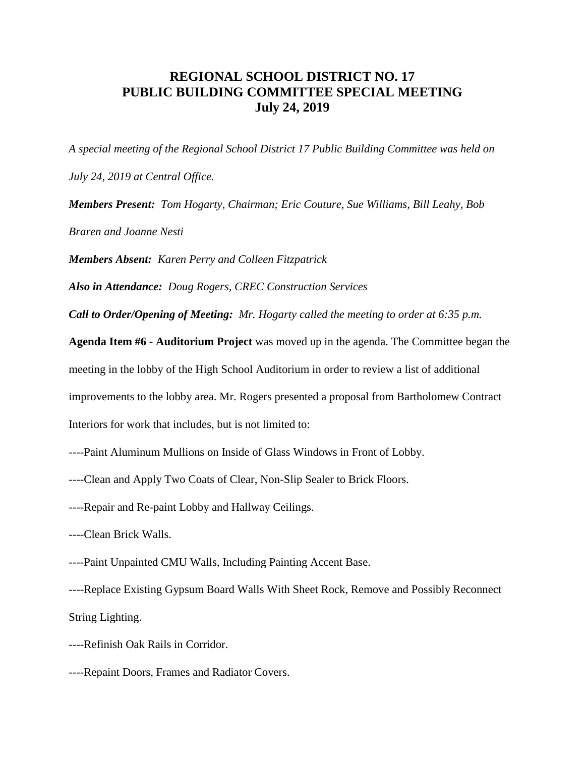## **REGIONAL SCHOOL DISTRICT NO. 17 PUBLIC BUILDING COMMITTEE SPECIAL MEETING July 24, 2019**

*A special meeting of the Regional School District 17 Public Building Committee was held on July 24, 2019 at Central Office.*

*Members Present: Tom Hogarty, Chairman; Eric Couture, Sue Williams, Bill Leahy, Bob Braren and Joanne Nesti*

*Members Absent: Karen Perry and Colleen Fitzpatrick*

*Also in Attendance: Doug Rogers, CREC Construction Services*

*Call to Order/Opening of Meeting: Mr. Hogarty called the meeting to order at 6:35 p.m.*

**Agenda Item #6 - Auditorium Project** was moved up in the agenda. The Committee began the meeting in the lobby of the High School Auditorium in order to review a list of additional improvements to the lobby area. Mr. Rogers presented a proposal from Bartholomew Contract Interiors for work that includes, but is not limited to:

- ----Paint Aluminum Mullions on Inside of Glass Windows in Front of Lobby.
- ----Clean and Apply Two Coats of Clear, Non-Slip Sealer to Brick Floors.
- ----Repair and Re-paint Lobby and Hallway Ceilings.
- ----Clean Brick Walls.
- ----Paint Unpainted CMU Walls, Including Painting Accent Base.

----Replace Existing Gypsum Board Walls With Sheet Rock, Remove and Possibly Reconnect String Lighting.

- ----Refinish Oak Rails in Corridor.
- ----Repaint Doors, Frames and Radiator Covers.